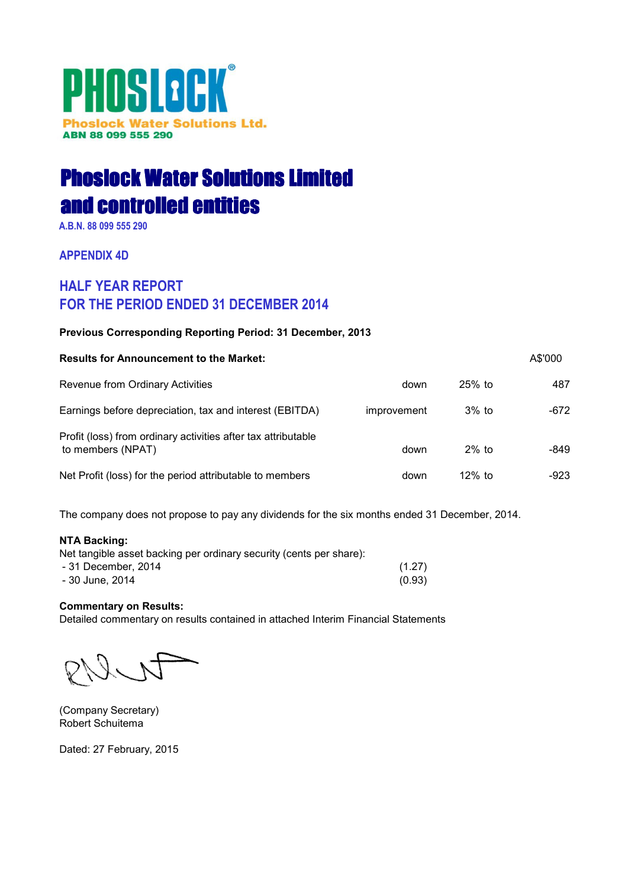# PHOSLOCK® **Phoslock Water Solutions Ltd.** ABN 88 099 555 290

# **Phoslock Water Solutions Limited** and controlled entities

A.B.N. 88 099 555 290

**APPENDIX 4D** 

# **HALF YEAR REPORT FOR THE PERIOD ENDED 31 DECEMBER 2014**

## Previous Corresponding Reporting Period: 31 December, 2013

| <b>Results for Announcement to the Market:</b>                                     |             |           | A\$'000 |
|------------------------------------------------------------------------------------|-------------|-----------|---------|
| Revenue from Ordinary Activities                                                   | down        | $25%$ to  | 487     |
| Earnings before depreciation, tax and interest (EBITDA)                            | improvement | $3\%$ to  | -672    |
| Profit (loss) from ordinary activities after tax attributable<br>to members (NPAT) | down        | $2\%$ to  | -849    |
| Net Profit (loss) for the period attributable to members                           | down        | $12\%$ to | -923    |

The company does not propose to pay any dividends for the six months ended 31 December, 2014.

## **NTA Backing:**

| Net tangible asset backing per ordinary security (cents per share): |        |
|---------------------------------------------------------------------|--------|
| - 31 December, 2014                                                 | (1.27) |
| - 30 June, 2014                                                     | (0.93) |

## **Commentary on Results:**

Detailed commentary on results contained in attached Interim Financial Statements

(Company Secretary) Robert Schuitema

Dated: 27 February, 2015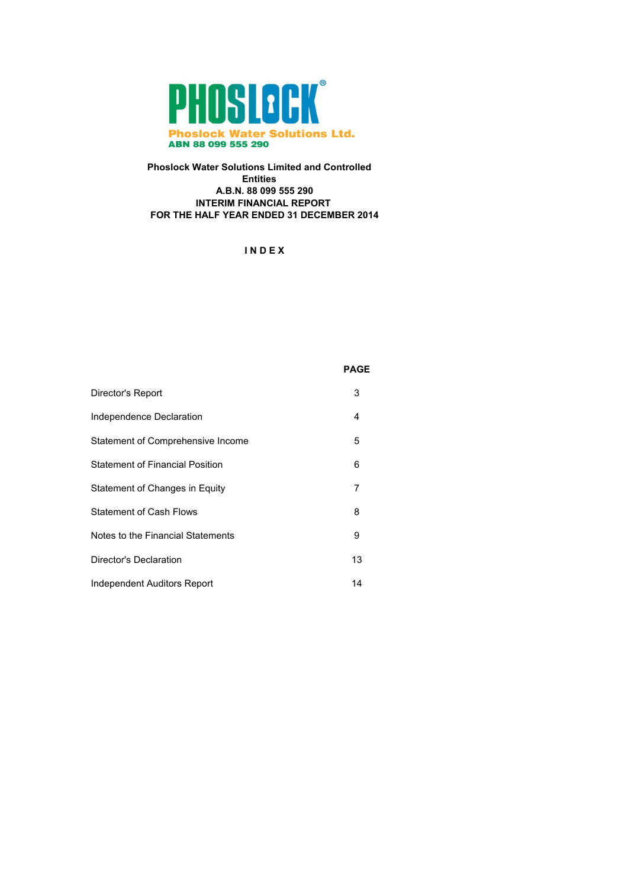

## **Phoslock Water Solutions Limited and Controlled Entities** A.B.N. 88 099 555 290 **INTERIM FINANCIAL REPORT** FOR THE HALF YEAR ENDED 31 DECEMBER 2014

## INDEX

## **PAGE**

| Director's Report                      | 3  |
|----------------------------------------|----|
| Independence Declaration               | 4  |
| Statement of Comprehensive Income      | 5  |
| <b>Statement of Financial Position</b> | 6  |
| Statement of Changes in Equity         | 7  |
| <b>Statement of Cash Flows</b>         | 8  |
| Notes to the Financial Statements      | 9  |
| Director's Declaration                 | 13 |
| Independent Auditors Report            | 14 |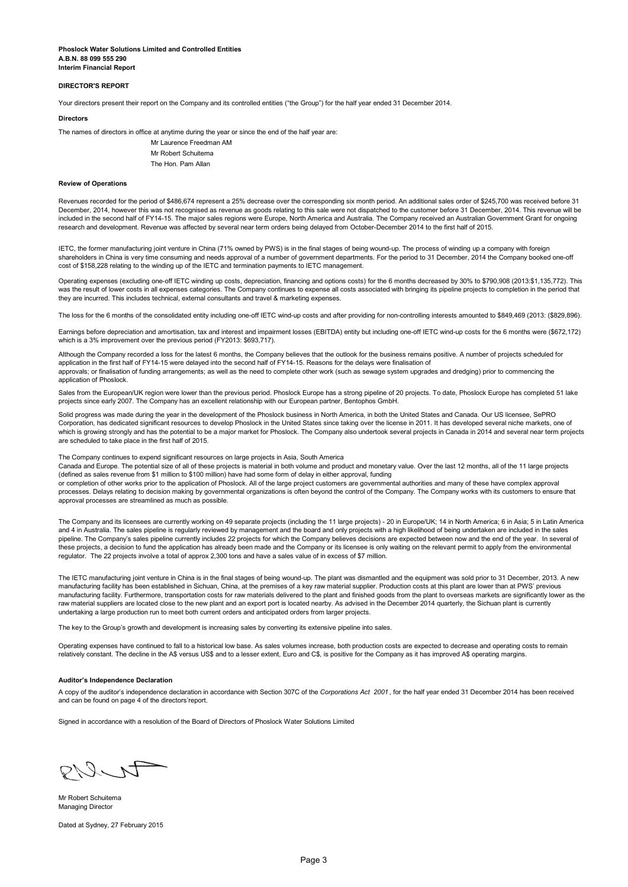## **DIRECTOR'S REPORT**

Your directors present their report on the Company and its controlled entities ("the Group") for the half year ended 31 December 2014.

#### **Directors**

The names of directors in office at anytime during the year or since the end of the half year are:

Mr Laurence Freedman AM Mr Pobert Schuitema The Hon Pam Allan

#### **Review of Operations**

Revenues recorded for the period of \$486,674 represent a 25% decrease over the corresponding six month period. An additional sales order of \$245,700 was received before 31 December, 2014, however this was not recognised as revenue as goods relating to this sale were not dispatched to the customer before 31 December, 2014. This revenue will be included in the second half of FY14-15. The major sales regions were Europe, North America and Australia. The Company received an Australian Government Grant for ongoing research and development. Revenue was affected by several near term orders being delayed from October-December 2014 to the first half of 2015.

IETC, the former manufacturing joint venture in China (71% owned by PWS) is in the final stages of being wound-up. The process of winding up a company with foreign shareholders in China is very time consuming and needs approval of a number of government departments. For the period to 31 December, 2014 the Company booked one-off cost of \$158,228 relating to the winding up of the IETC and termination payments to IETC management.

Operating expenses (excluding one-off IETC winding up costs, depreciation, financing and options costs) for the 6 months decreased by 30% to \$790,908 (2013:\$1,135,772). This was the result of lower costs in all expenses categories. The Company continues to expense all costs associated with bringing its pipeline projects to completion in the period that they are incurred. This includes technical, external consultants and travel & marketing expenses.

The loss for the 6 months of the consolidated entity including one-off IETC wind-up costs and after providing for non-controlling interests amounted to \$849,469 (2013; (\$829,896).

Earnings before depreciation and amortisation, tax and interest and impairment losses (EBITDA) entity but including one-off IETC wind-up costs for the 6 months were (\$672,172) which is a 3% improvement over the previous period (FY2013: \$693,717).

Although the Company recorded a loss for the latest 6 months, the Company believes that the outlook for the business remains positive. A number of projects scheduled for application in the first half of FY14-15 were delayed into the second half of FY14-15. Reasons for the delays were finalisation of approvals; or finalisation of funding arrangements; as well as the need to complete other work (such as sewage system upgrades and dredging) prior to commencing the application of Phoslock.

Sales from the European/UK region were lower than the previous period. Phoslock Europe has a strong pipeline of 20 projects. To date, Phoslock Europe has completed 51 lake projects since early 2007. The Company has an excellent relationship with our European partner, Bentophos GmbH.

Solid progress was made during the year in the development of the Phoslock business in North America, in both the United States and Canada. Our US licensee, SePRO Corporation, has dedicated significant resources to develop Phoslock in the United States since taking over the license in 2011. It has developed several niche markets, one of which is growing strongly and has the potential to be a major market for Phoslock. The Company also undertook several projects in Canada in 2014 and several near term projects are scheduled to take place in the first half of 2015.

The Company continues to expend significant resources on large projects in Asia, South America

Canada and Europe. The potential size of all of these projects is material in both volume and product and monetary value. Over the last 12 months, all of the 11 large projects (defined as sales revenue from \$1 million to \$100 million) have had some form of delay in either approval, funding

or completion of other works prior to the application of Phoslock. All of the large project customers are governmental authorities and many of these have complex approval processes. Delays relating to decision making by governmental organizations is often beyond the control of the Company. The Company works with its customers to ensure that approval processes are streamlined as much as possible.

The Company and its licensees are currently working on 49 separate projects (including the 11 large projects) - 20 in Furope/UK: 14 in North America: 6 in Asia: 5 in Latin America and 4 in Australia. The sales pipeline is regularly reviewed by management and the board and only projects with a high likelihood of being undertaken are included in the sales pipeline. The Company's sales pipeline currently includes 22 projects for which the Company believes decisions are expected between now and the end of the year. In several of these projects, a decision to fund the application has already been made and the Company or its licensee is only waiting on the relevant permit to apply from the environmental regulator. The 22 projects involve a total of approx 2,300 tons and have a sales value of in excess of \$7 million.

The IETC manufacturing ioint venture in China is in the final stages of being wound-up. The plant was dismantled and the equipment was sold prior to 31 December, 2013. A new manufacturing facility has been established in Sichuan. China, at the premises of a key raw material supplier. Production costs at this plant are lower than at PWS' previous manufacturing facility. Furthermore, transportation costs for raw materials delivered to the plant and finished goods from the plant to overseas markets are significantly lower as the raw material suppliers are located close to the new plant and an export port is located nearby. As advised in the December 2014 quarterly, the Sichuan plant is currently undertaking a large production run to meet both current orders and anticipated orders from larger projects.

The key to the Group's growth and development is increasing sales by converting its extensive pipeline into sales.

Operating expenses have continued to fall to a historical low base. As sales volumes increase, both production costs are expected to decrease and operating costs to remain<br>relatively constant. The decline in the A\$ versus

#### **Auditor's Independence Declaration**

A copy of the auditor's independence declaration in accordance with Section 307C of the Corporations Act 2001, for the half year ended 31 December 2014 has been received and can be found on page 4 of the directors'report.

Signed in accordance with a resolution of the Board of Directors of Phoslock Water Solutions Limited

 $9 - 17$ 

Mr Robert Schuitema Managing Director

Dated at Sydney, 27 February 2015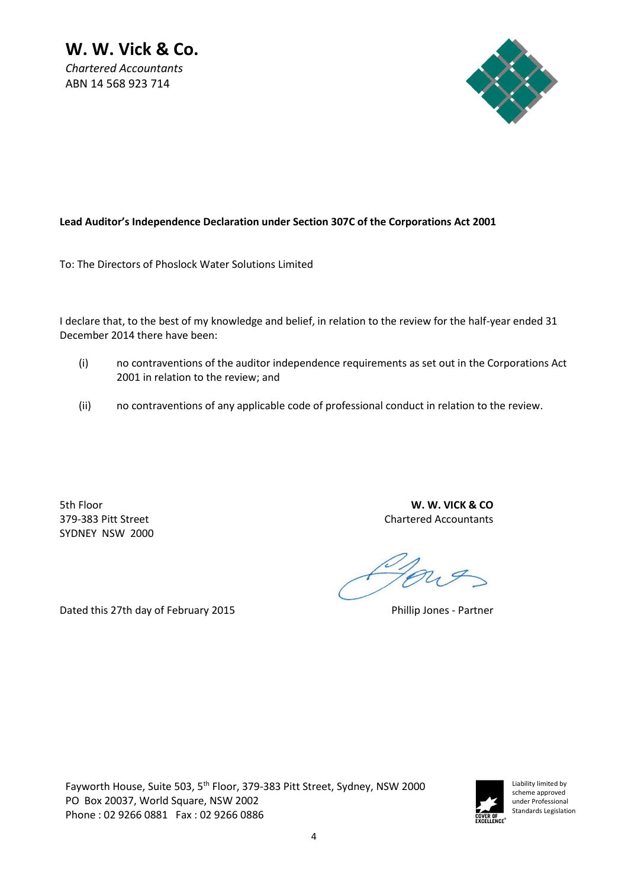*Chartered Accountants*  ABN 14 568 923 714



# Lead Auditor's Independence Declaration under Section 307C of the Corporations Act 2001

To: The Directors of Phoslock Water Solutions Limited

I declare that, to the best of my knowledge and belief, in relation to the review for the half-year ended 31 December 2014 there have been:

- (i) no contraventions of the auditor independence requirements as set out in the Corporations Act 2001 in relation to the review; and
- (ii) no contraventions of any applicable code of professional conduct in relation to the review.

SYDNEY NSW 2000

5th Floor **W. W. VICK & CO**  379-383 Pitt Street Chartered Accountants

Dated this 27th day of February 2015 **Phillip Jones - Partner** 

Fayworth House, Suite 503, 5<sup>th</sup> Floor, 379-383 Pitt Street, Sydney, NSW 2000 PO Box 20037, World Square, NSW 2002 Phone : 02 9266 0881 Fax : 02 9266 0886

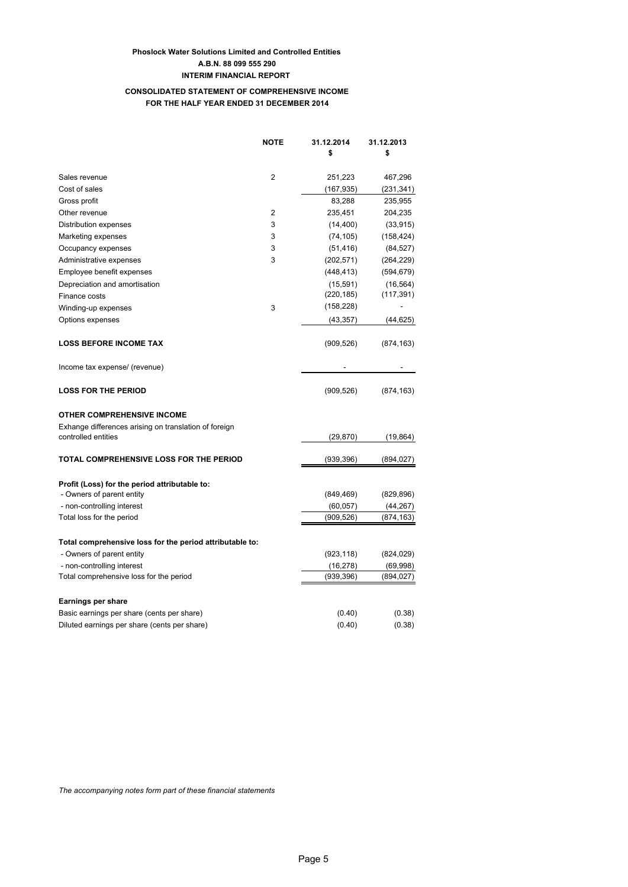## **CONSOLIDATED STATEMENT OF COMPREHENSIVE INCOME** FOR THE HALF YEAR ENDED 31 DECEMBER 2014

|                                                          | <b>NOTE</b>    | 31.12.2014 | 31.12.2013 |
|----------------------------------------------------------|----------------|------------|------------|
|                                                          |                | \$         | \$         |
| Sales revenue                                            | $\overline{2}$ | 251,223    | 467,296    |
| Cost of sales                                            |                | (167, 935) | (231, 341) |
| Gross profit                                             |                | 83,288     | 235,955    |
| Other revenue                                            | 2              | 235,451    | 204,235    |
| Distribution expenses                                    | 3              | (14, 400)  | (33, 915)  |
| Marketing expenses                                       | 3              | (74, 105)  | (158, 424) |
| Occupancy expenses                                       | 3              | (51, 416)  | (84, 527)  |
| Administrative expenses                                  | 3              | (202, 571) | (264, 229) |
| Employee benefit expenses                                |                | (448, 413) | (594, 679) |
| Depreciation and amortisation                            |                | (15, 591)  | (16, 564)  |
| Finance costs                                            |                | (220, 185) | (117, 391) |
| Winding-up expenses                                      | 3              | (158, 228) |            |
| Options expenses                                         |                | (43, 357)  | (44,625)   |
| <b>LOSS BEFORE INCOME TAX</b>                            |                | (909, 526) | (874, 163) |
| Income tax expense/ (revenue)                            |                |            |            |
| <b>LOSS FOR THE PERIOD</b>                               |                | (909, 526) | (874, 163) |
| <b>OTHER COMPREHENSIVE INCOME</b>                        |                |            |            |
| Exhange differences arising on translation of foreign    |                |            |            |
| controlled entities                                      |                | (29, 870)  | (19, 864)  |
| <b>TOTAL COMPREHENSIVE LOSS FOR THE PERIOD</b>           |                | (939,396)  | (894,027)  |
| Profit (Loss) for the period attributable to:            |                |            |            |
| - Owners of parent entity                                |                | (849, 469) | (829, 896) |
| - non-controlling interest                               |                | (60, 057)  | (44, 267)  |
| Total loss for the period                                |                | (909, 526) | (874, 163) |
| Total comprehensive loss for the period attributable to: |                |            |            |
| - Owners of parent entity                                |                | (923, 118) | (824, 029) |
| - non-controlling interest                               |                | (16, 278)  | (69,998)   |
| Total comprehensive loss for the period                  |                | (939, 396) | (894,027)  |
| <b>Earnings per share</b>                                |                |            |            |
| Basic earnings per share (cents per share)               |                | (0.40)     | (0.38)     |
| Diluted earnings per share (cents per share)             |                | (0.40)     | (0.38)     |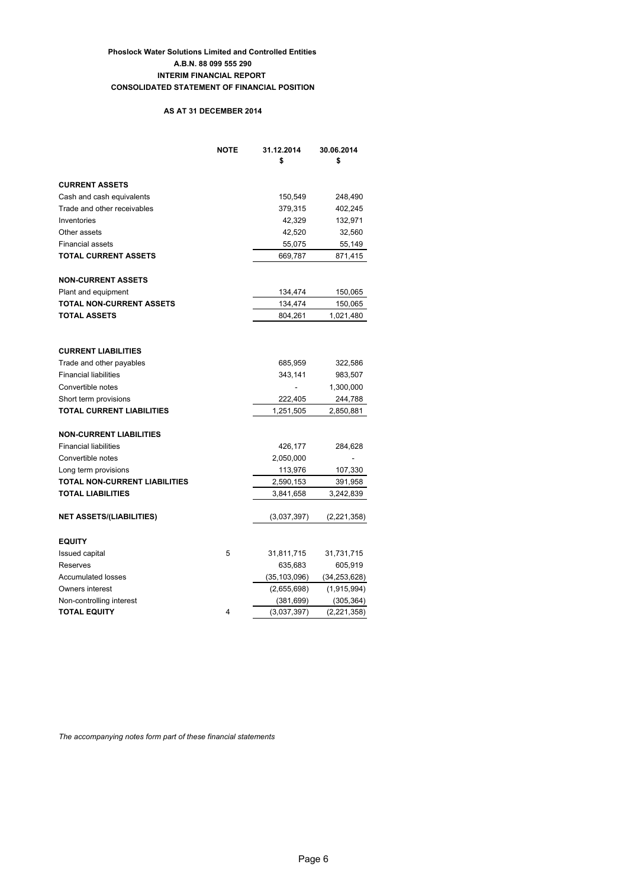## **Phoslock Water Solutions Limited and Controlled Entities** A.B.N. 88 099 555 290 **INTERIM FINANCIAL REPORT CONSOLIDATED STATEMENT OF FINANCIAL POSITION**

## AS AT 31 DECEMBER 2014

|                                  | <b>NOTE</b> | 31.12.2014<br>\$ | 30.06.2014<br>\$ |
|----------------------------------|-------------|------------------|------------------|
| <b>CURRENT ASSETS</b>            |             |                  |                  |
| Cash and cash equivalents        |             | 150,549          | 248,490          |
| Trade and other receivables      |             | 379,315          | 402,245          |
| Inventories                      |             | 42,329           | 132,971          |
| Other assets                     |             | 42,520           | 32,560           |
| <b>Financial assets</b>          |             | 55,075           | 55,149           |
| <b>TOTAL CURRENT ASSETS</b>      |             | 669,787          | 871,415          |
| <b>NON-CURRENT ASSETS</b>        |             |                  |                  |
| Plant and equipment              |             | 134,474          | 150,065          |
| <b>TOTAL NON-CURRENT ASSETS</b>  |             | 134,474          | 150,065          |
| <b>TOTAL ASSETS</b>              |             | 804,261          | 1,021,480        |
|                                  |             |                  |                  |
| <b>CURRENT LIABILITIES</b>       |             |                  |                  |
| Trade and other payables         |             | 685,959          | 322,586          |
| <b>Financial liabilities</b>     |             | 343,141          | 983,507          |
| Convertible notes                |             |                  | 1,300,000        |
| Short term provisions            |             | 222,405          | 244,788          |
| <b>TOTAL CURRENT LIABILITIES</b> |             | 1,251,505        | 2,850,881        |
| <b>NON-CURRENT LIABILITIES</b>   |             |                  |                  |
| <b>Financial liabilities</b>     |             | 426,177          | 284,628          |
| Convertible notes                |             | 2,050,000        |                  |
| Long term provisions             |             | 113,976          | 107,330          |
| TOTAL NON-CURRENT LIABILITIES    |             | 2,590,153        | 391,958          |
| <b>TOTAL LIABILITIES</b>         |             | 3,841,658        | 3,242,839        |
| <b>NET ASSETS/(LIABILITIES)</b>  |             | (3,037,397)      | (2,221,358)      |
| <b>EQUITY</b>                    |             |                  |                  |
| <b>Issued capital</b>            | 5           | 31,811,715       | 31,731,715       |
| Reserves                         |             | 635,683          | 605,919          |
| <b>Accumulated losses</b>        |             | (35, 103, 096)   | (34, 253, 628)   |
| Owners interest                  |             | (2,655,698)      | (1,915,994)      |
| Non-controlling interest         |             | (381, 699)       | (305, 364)       |
| <b>TOTAL EQUITY</b>              | 4           | (3,037,397)      | (2,221,358)      |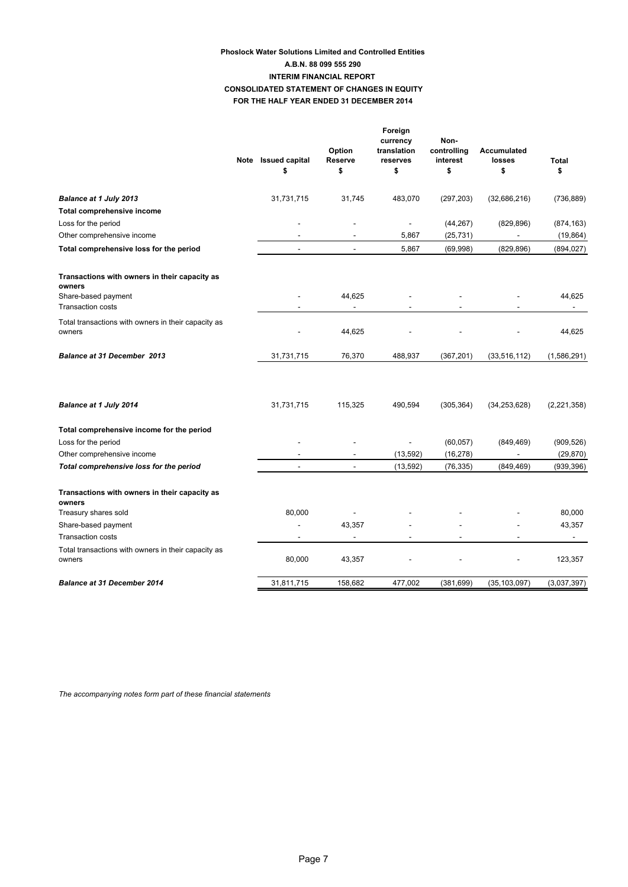## **Phoslock Water Solutions Limited and Controlled Entities** A.B.N. 88 099 555 290 **INTERIM FINANCIAL REPORT CONSOLIDATED STATEMENT OF CHANGES IN EQUITY** FOR THE HALF YEAR ENDED 31 DECEMBER 2014

|                                                               | Note Issued capital<br>\$ | Option<br>Reserve<br>\$ | Foreign<br>currency<br>translation<br>reserves<br>\$ | Non-<br>controlling<br>interest<br>\$ | <b>Accumulated</b><br>losses<br>\$ | <b>Total</b><br>\$ |
|---------------------------------------------------------------|---------------------------|-------------------------|------------------------------------------------------|---------------------------------------|------------------------------------|--------------------|
| <b>Balance at 1 July 2013</b>                                 | 31,731,715                | 31,745                  | 483,070                                              | (297, 203)                            | (32,686,216)                       | (736, 889)         |
| <b>Total comprehensive income</b>                             |                           |                         |                                                      |                                       |                                    |                    |
| Loss for the period                                           |                           |                         | $\overline{\phantom{a}}$                             | (44, 267)                             | (829, 896)                         | (874, 163)         |
| Other comprehensive income                                    |                           |                         | 5,867                                                | (25, 731)                             |                                    | (19, 864)          |
| Total comprehensive loss for the period                       | $\overline{\phantom{a}}$  | $\sim$                  | 5,867                                                | (69,998)                              | (829, 896)                         | (894, 027)         |
| Transactions with owners in their capacity as<br>owners       |                           |                         |                                                      |                                       |                                    |                    |
| Share-based payment<br><b>Transaction costs</b>               |                           | 44,625                  |                                                      |                                       |                                    | 44,625             |
| Total transactions with owners in their capacity as<br>owners |                           | 44,625                  |                                                      |                                       |                                    | 44,625             |
| <b>Balance at 31 December 2013</b>                            | 31,731,715                | 76,370                  | 488,937                                              | (367, 201)                            | (33, 516, 112)                     | (1,586,291)        |
| Balance at 1 July 2014                                        | 31,731,715                | 115,325                 | 490,594                                              | (305, 364)                            | (34, 253, 628)                     | (2, 221, 358)      |
| Total comprehensive income for the period                     |                           |                         |                                                      |                                       |                                    |                    |
| Loss for the period                                           |                           |                         | $\overline{\phantom{a}}$                             | (60, 057)                             | (849, 469)                         | (909, 526)         |
| Other comprehensive income                                    |                           |                         | (13, 592)                                            | (16, 278)                             |                                    | (29, 870)          |
| Total comprehensive loss for the period                       |                           |                         | (13, 592)                                            | (76, 335)                             | (849, 469)                         | (939, 396)         |
| Transactions with owners in their capacity as<br>owners       |                           |                         |                                                      |                                       |                                    |                    |
| Treasury shares sold                                          | 80,000                    |                         |                                                      |                                       |                                    | 80,000             |
| Share-based payment                                           |                           | 43,357                  |                                                      |                                       |                                    | 43,357             |
| <b>Transaction costs</b>                                      |                           |                         |                                                      |                                       |                                    |                    |
| Total transactions with owners in their capacity as<br>owners | 80,000                    | 43,357                  |                                                      |                                       |                                    | 123,357            |
| <b>Balance at 31 December 2014</b>                            | 31,811,715                | 158,682                 | 477,002                                              | (381, 699)                            | (35, 103, 097)                     | (3,037,397)        |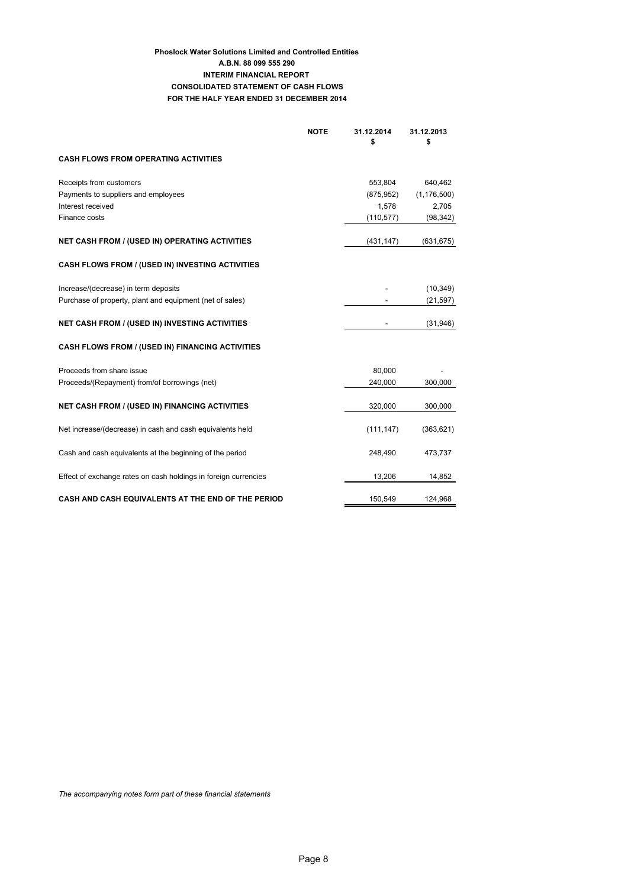## **Phoslock Water Solutions Limited and Controlled Entities** A.B.N. 88 099 555 290 **INTERIM FINANCIAL REPORT CONSOLIDATED STATEMENT OF CASH FLOWS** FOR THE HALF YEAR ENDED 31 DECEMBER 2014

| <b>NOTE</b>                                                     | 31.12.2014<br>\$ | 31.12.2013<br>\$ |
|-----------------------------------------------------------------|------------------|------------------|
| <b>CASH FLOWS FROM OPERATING ACTIVITIES</b>                     |                  |                  |
| Receipts from customers                                         | 553,804          | 640,462          |
| Payments to suppliers and employees                             | (875, 952)       | (1, 176, 500)    |
| Interest received                                               | 1,578            | 2,705            |
| Finance costs                                                   | (110, 577)       | (98, 342)        |
| <b>NET CASH FROM / (USED IN) OPERATING ACTIVITIES</b>           | (431, 147)       | (631, 675)       |
| CASH FLOWS FROM / (USED IN) INVESTING ACTIVITIES                |                  |                  |
| Increase/(decrease) in term deposits                            |                  | (10, 349)        |
| Purchase of property, plant and equipment (net of sales)        |                  | (21, 597)        |
| <b>NET CASH FROM / (USED IN) INVESTING ACTIVITIES</b>           |                  | (31, 946)        |
| <b>CASH FLOWS FROM / (USED IN) FINANCING ACTIVITIES</b>         |                  |                  |
| Proceeds from share issue                                       | 80,000           |                  |
| Proceeds/(Repayment) from/of borrowings (net)                   | 240,000          | 300,000          |
| <b>NET CASH FROM / (USED IN) FINANCING ACTIVITIES</b>           | 320,000          | 300,000          |
| Net increase/(decrease) in cash and cash equivalents held       | (111, 147)       | (363, 621)       |
| Cash and cash equivalents at the beginning of the period        | 248,490          | 473,737          |
| Effect of exchange rates on cash holdings in foreign currencies | 13,206           | 14,852           |
| CASH AND CASH EQUIVALENTS AT THE END OF THE PERIOD              | 150,549          | 124,968          |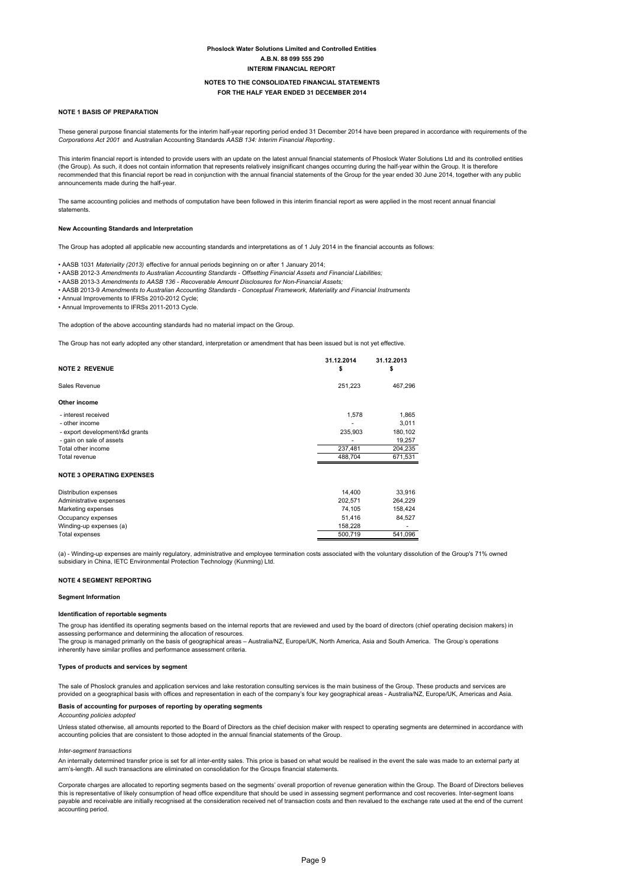## NOTES TO THE CONSOLIDATED FINANCIAL STATEMENTS

## FOR THE HALF YEAR ENDED 31 DECEMBER 2014

#### **NOTE 1 BASIS OF PREPARATION**

These general purpose financial statements for the interim half-year reporting period ended 31 December 2014 have been prepared in accordance with requirements of the Corporations Act 2001 and Australian Accounting Standar

This interim financial report is intended to provide users with an update on the latest annual financial statements of Phoslock Water Solutions Ltd and its controlled entities (the Group). As such, it does not contain information that represents relatively insignificant changes occurring during the half-year within the Group. It is therefore recommended that this financial report be read in conjunction with the annual financial statements of the Group for the year ended 30 June 2014, together with any public<br>recommended that this financial report be read in co announcements made during the half-year

The same accounting policies and methods of computation have been followed in this interim financial report as were applied in the most recent annual financial statements.

#### New Accounting Standards and Interpretation

The Group has adopted all applicable new accounting standards and interpretations as of 1 July 2014 in the financial accounts as follows:

. AASB 1031 Materiality (2013) effective for annual periods beginning on or after 1 January 2014;

- AASB 2012-3 Amendments to Australian Accounting Standards Offsetting Financial Assets and Financial Liabilities;
- .<br>AASB 2013-3 Amendments to AASB 136 Recoverable Amount Disclosures for Non-Financial Assets;
- . AASB 2013-9 Amendments to Australian Accounting Standards Conceptual Framework, Materiality and Financial Instruments

• Annual Improvements to IFRSs 2010-2012 Cycle;

• Annual Improvements to IFRSs 2011-2013 Cycle

The adoption of the above accounting standards had no material impact on the Group.

The Group has not early adopted any other standard, interpretation or amendment that has been issued but is not yet effective.

| <b>NOTE 2 REVENUE</b>            | 31.12.2014<br>\$ | 31.12.2013<br>\$ |
|----------------------------------|------------------|------------------|
| Sales Revenue                    | 251,223          | 467,296          |
| Other income                     |                  |                  |
| - interest received              | 1,578            | 1,865            |
| - other income                   |                  | 3,011            |
| - export development/r&d grants  | 235,903          | 180,102          |
| - gain on sale of assets         |                  | 19,257           |
| Total other income               | 237,481          | 204,235          |
| Total revenue                    | 488,704          | 671,531          |
| <b>NOTE 3 OPERATING EXPENSES</b> |                  |                  |
| Distribution expenses            | 14,400           | 33,916           |
| Administrative expenses          | 202,571          | 264,229          |
| Marketing expenses               | 74,105           | 158,424          |
| Occupancy expenses               | 51,416           | 84,527           |
| Winding-up expenses (a)          | 158,228          |                  |
| Total expenses                   | 500,719          | 541,096          |

(a) - Winding-up expenses are mainly regulatory, administrative and employee termination costs associated with the voluntary dissolution of the Group's 71% owned subsidiary in China, IETC Environmental Protection Technology (Kunming) Ltd.

#### **NOTE 4 SEGMENT REPORTING**

#### **Seament Information**

#### Identification of reportable segments

The group has identified its operating segments based on the internal reports that are reviewed and used by the board of directors (chief operating decision makers) in assessing performance and determining the allocation of resources.

The group is managed primarily on the basis of geographical areas - Australia/NZ, Europe/UK, North America, Asia and South America. The Group's operations inherently have similar profiles and performance assessment criteria.

#### Types of products and services by segment

The sale of Phoslock granules and application services and lake restoration consulting services is the main business of the Group. These products and services are provided on a geographical basis with offices and representation in each of the company's four key geographical areas - Australia/NZ, Europe/UK, Americas and Asia.

## Basis of accounting for purposes of reporting by operating segments

Accounting policies adopted

Unless stated otherwise, all amounts reported to the Board of Directors as the chief decision maker with respect to operating segments are determined in accordance with accounting policies that are consistent to those adopted in the annual financial statements of the Group

#### Inter-segment transactions

An internally determined transfer price is set for all inter-entity sales. This price is based on what would be realised in the event the sale was made to an external party at arm's-length. All such transactions are eliminated on consolidation for the Groups financial statements.

Corporate charges are allocated to reporting segments based on the segments' overall proportion of revenue generation within the Group. The Board of Directors believes<br>this is representative of likely consumption of head o and receivable are initially recognised at the consideration received net of transaction costs and then revalued to the exchange rate used at the end of the current payable and received net of transaction costs and then re accounting period.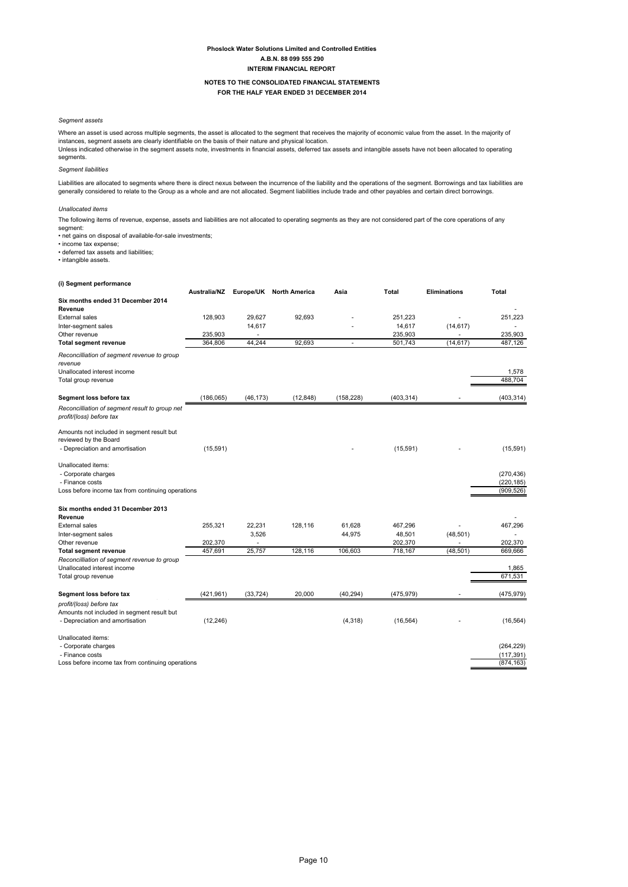# NOTES TO THE CONSOLIDATED FINANCIAL STATEMENTS

## FOR THE HALF YEAR ENDED 31 DECEMBER 2014

## Segment assets

Where an asset is used across multiple segments, the asset is allocated to the segment that receives the majority of economic value from the asset. In the majority of instances, segment assets are clearly identifiable on the basis of their nature and physical location.

Unless indicated otherwise in the segment assets note, investments in financial assets, deferred tax assets and intangible assets have not been allocated to operating segments.

## Seament liabilities

Liabilities are allocated to segments where there is direct nexus between the incurrence of the liability and the operations of the segment. Borrowings and tax liabilities are generally considered to relate to the Group as a whole and are not allocated. Segment liabilities include trade and other payables and certain direct borrowings.

#### Unallocated items

The following items of revenue, expense, assets and liabilities are not allocated to operating segments as they are not considered part of the core operations of any segment:

• net gains on disposal of available-for-sale investments;

• income tax expense;<br>• deferred tax assets and liabilities;

• intangible assets.

## (i) Segment performance

|                                                                            | Australia/NZ |           | Europe/UK North America | Asia       | Total      | <b>Eliminations</b> | Total      |
|----------------------------------------------------------------------------|--------------|-----------|-------------------------|------------|------------|---------------------|------------|
| Six months ended 31 December 2014                                          |              |           |                         |            |            |                     |            |
| Revenue                                                                    |              |           |                         |            |            |                     |            |
| <b>External sales</b>                                                      | 128,903      | 29.627    | 92.693                  |            | 251,223    |                     | 251,223    |
| Inter-segment sales                                                        |              | 14,617    |                         |            | 14,617     | (14, 617)           |            |
| Other revenue                                                              | 235,903      | ٠         |                         |            | 235,903    | ٠                   | 235,903    |
| <b>Total segment revenue</b>                                               | 364.806      | 44.244    | 92.693                  | ä,         | 501,743    | (14, 617)           | 487.126    |
| Reconcilliation of segment revenue to group                                |              |           |                         |            |            |                     |            |
| revenue                                                                    |              |           |                         |            |            |                     |            |
| Unallocated interest income                                                |              |           |                         |            |            |                     | 1,578      |
| Total group revenue                                                        |              |           |                         |            |            |                     | 488,704    |
| Segment loss before tax                                                    | (186, 065)   | (46, 173) | (12, 848)               | (158, 228) | (403, 314) |                     | (403, 314) |
|                                                                            |              |           |                         |            |            |                     |            |
| Reconcilliation of segment result to group net<br>profit/(loss) before tax |              |           |                         |            |            |                     |            |
| Amounts not included in segment result but                                 |              |           |                         |            |            |                     |            |
| reviewed by the Board                                                      |              |           |                         |            |            |                     |            |
| - Depreciation and amortisation                                            | (15, 591)    |           |                         |            | (15, 591)  |                     | (15, 591)  |
| Unallocated items:                                                         |              |           |                         |            |            |                     |            |
| - Corporate charges                                                        |              |           |                         |            |            |                     | (270, 436) |
| - Finance costs                                                            |              |           |                         |            |            |                     | (220, 185) |
| Loss before income tax from continuing operations                          |              |           |                         |            |            |                     | (909, 526) |
| Six months ended 31 December 2013                                          |              |           |                         |            |            |                     |            |
| Revenue                                                                    |              |           |                         |            |            |                     |            |
| <b>External sales</b>                                                      | 255,321      | 22,231    | 128,116                 | 61,628     | 467,296    |                     | 467,296    |
| Inter-segment sales                                                        |              | 3,526     |                         | 44,975     | 48,501     | (48, 501)           |            |
| Other revenue                                                              | 202,370      |           |                         |            | 202,370    |                     | 202,370    |
| <b>Total segment revenue</b>                                               | 457,691      | 25,757    | 128,116                 | 106,603    | 718,167    | (48, 501)           | 669,666    |
| Reconcilliation of segment revenue to group                                |              |           |                         |            |            |                     |            |
| Unallocated interest income                                                |              |           |                         |            |            |                     | 1,865      |
| Total group revenue                                                        |              |           |                         |            |            |                     | 671,531    |
| Segment loss before tax                                                    | (421.961)    | (33.724)  | 20,000                  | (40, 294)  | (475, 979) |                     | (475, 979) |
| profit/(loss) before tax                                                   |              |           |                         |            |            |                     |            |
| Amounts not included in segment result but                                 |              |           |                         |            |            |                     |            |
| - Depreciation and amortisation                                            | (12, 246)    |           |                         | (4, 318)   | (16, 564)  |                     | (16, 564)  |
| Unallocated items:                                                         |              |           |                         |            |            |                     |            |
| - Corporate charges                                                        |              |           |                         |            |            |                     | (264, 229) |
| - Finance costs                                                            |              |           |                         |            |            |                     | (117, 391) |
| Loss before income tax from continuing operations                          |              |           |                         |            |            |                     | (874, 163) |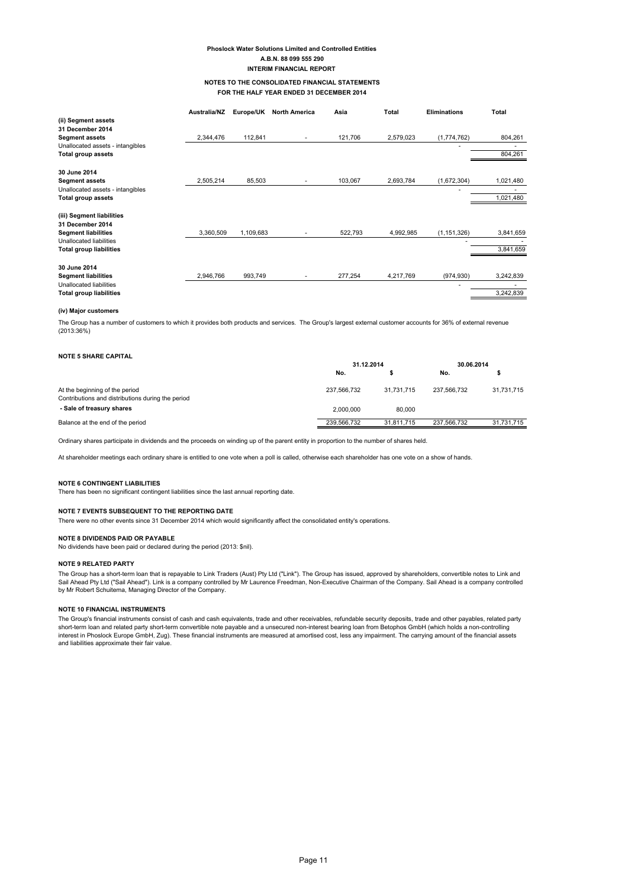## NOTES TO THE CONSOLIDATED FINANCIAL STATEMENTS FOR THE HALF YEAR ENDED 31 DECEMBER 2014

|                                  | Australia/NZ | Europe/UK | <b>North America</b>     | Asia    | Total     | <b>Eliminations</b> | Total     |
|----------------------------------|--------------|-----------|--------------------------|---------|-----------|---------------------|-----------|
| (ii) Segment assets              |              |           |                          |         |           |                     |           |
| 31 December 2014                 |              |           |                          |         |           |                     |           |
| <b>Segment assets</b>            | 2,344,476    | 112,841   | $\overline{\phantom{a}}$ | 121,706 | 2,579,023 | (1,774,762)         | 804,261   |
| Unallocated assets - intangibles |              |           |                          |         |           |                     |           |
| <b>Total group assets</b>        |              |           |                          |         |           |                     | 804,261   |
| 30 June 2014                     |              |           |                          |         |           |                     |           |
| <b>Segment assets</b>            | 2,505,214    | 85,503    | ٠                        | 103,067 | 2,693,784 | (1,672,304)         | 1,021,480 |
| Unallocated assets - intangibles |              |           |                          |         |           |                     |           |
| Total group assets               |              |           |                          |         |           |                     | 1,021,480 |
| (iii) Segment liabilities        |              |           |                          |         |           |                     |           |
| 31 December 2014                 |              |           |                          |         |           |                     |           |
| <b>Segment liabilities</b>       | 3,360,509    | 1,109,683 |                          | 522,793 | 4,992,985 | (1, 151, 326)       | 3,841,659 |
| Unallocated liabilities          |              |           |                          |         |           |                     |           |
| <b>Total group liabilities</b>   |              |           |                          |         |           |                     | 3,841,659 |
| 30 June 2014                     |              |           |                          |         |           |                     |           |
| <b>Segment liabilities</b>       | 2,946,766    | 993,749   | $\overline{\phantom{a}}$ | 277,254 | 4,217,769 | (974, 930)          | 3,242,839 |
| Unallocated liabilities          |              |           |                          |         |           |                     |           |
| <b>Total group liabilities</b>   |              |           |                          |         |           |                     | 3,242,839 |

#### (iv) Maior customers

The Group has a number of customers to which it provides both products and services. The Group's largest external customer accounts for 36% of external revenue  $(2013:36%)$ 

| <b>NOTE 5 SHARE CAPITAL</b>                                                         |             |            |             |            |  |
|-------------------------------------------------------------------------------------|-------------|------------|-------------|------------|--|
|                                                                                     |             | 31.12.2014 |             | 30.06.2014 |  |
|                                                                                     | No.         |            | No.         |            |  |
| At the beginning of the period<br>Contributions and distributions during the period | 237.566.732 | 31.731.715 | 237.566.732 | 31,731,715 |  |
| - Sale of treasury shares                                                           | 2.000.000   | 80.000     |             |            |  |
| Balance at the end of the period                                                    | 239.566.732 | 31.811.715 | 237.566.732 | 31,731,715 |  |

Ordinary shares participate in dividends and the proceeds on winding up of the parent entity in proportion to the number of shares held.

At shareholder meetings each ordinary share is entitled to one vote when a poll is called, otherwise each shareholder has one vote on a show of hands.

#### NOTE 6 CONTINGENT I IABILITIES

There has been no significant contingent liabilities since the last annual reporting date.

## NOTE 7 EVENTS SUBSEQUENT TO THE REPORTING DATE

There were no other events since 31 December 2014 which would significantly affect the consolidated entity's operations.

## **NOTE 8 DIVIDENDS PAID OR PAYABLE**

No dividends have been paid or declared during the period (2013: \$nil).

#### **NOTE 9 RELATED PARTY**

The Group has a short-term loan that is repayable to Link Traders (Aust) Pty Ltd ("Link"). The Group has issued, approved by shareholders, convertible notes to Link and Sail Ahead Pty Ltd ("Sail Ahead"). Link is a company controlled by Mr Laurence Freedman, Non-Executive Chairman of the Company. Sail Ahead is a company controlled by Mr Robert Schuitema, Managing Director of the Company.

#### **NOTE 10 FINANCIAL INSTRUMENTS**

The Group's financial instruments consist of cash and cash equivalents, trade and other receivables, refundable security deposits, trade and other payables, related party short-term loan and related party solid-term convertible note payable and a unsecured non-interest bearing loan from Betophos GmbH (which holds a non-controlling) short-term loan and related party short-term convertible no interest in Phoslock Europe GmbH, Zug). These financial instruments are measured at amortised cost, less any impairment. The carrying amount of the financial assets and liabilities approximate their fair value.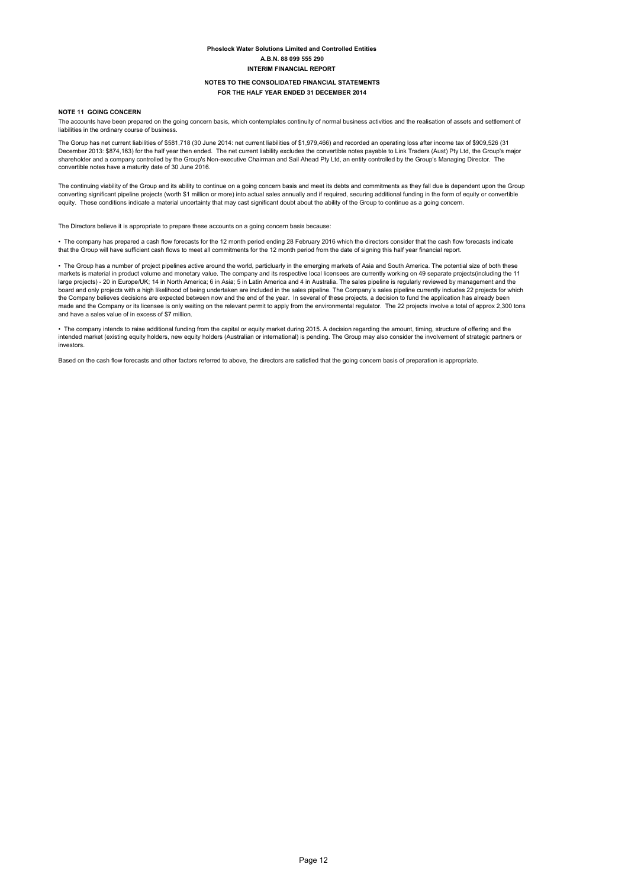#### NOTES TO THE CONSOLIDATED FINANCIAL STATEMENTS FOR THE HALF YEAR ENDED 31 DECEMBER 2014

## NOTE 11 GOING CONCERN

The accounts have been prepared on the going concern basis, which contemplates continuity of normal business activities and the realisation of assets and settlement of liabilities in the ordinary course of busine

The Gorup has net current liabilities of \$581.718 (30 June 2014; net current liabilities of \$1.979.466) and recorded an operating loss after income tax of \$909.526 (31) December 2013: \$874,163) for the half year then ended. The net current liability excludes the convertible notes payable to Link Traders (Aust) Pty Ltd, the Group's major shareholder and a company controlled by the Group's Non-executive Chairman and Sail Ahead Pty Ltd, an entity controlled by the Group's Managing Director. The convertible notes have a maturity date of 30 June 2016.

The continuing viability of the Group and its ability to continue on a going concern basis and meet its debts and commitments as they fall due is dependent upon the Group converting significant pipeline projects (worth \$1 million or more) into actual sales annually and if required, securing additional funding in the form of equity or convertible equity. These conditions indicate a material uncertainty that may cast significant doubt about the ability of the Group to continue as a going concern.

The Directors believe it is appropriate to prepare these accounts on a going concern basis because:

· The company has prepared a cash flow forecasts for the 12 month period ending 28 February 2016 which the directors consider that the cash flow forecasts indicate that the Group will have sufficient cash flows to meet all commitments for the 12 month period from the date of signing this half year financial report.

· The Group has a number of project pipelines active around the world, particluarly in the emerging markets of Asia and South America. The potential size of both these markets is material in product volume and monetary value. The company and its respective local licensees are currently working on 49 separate projects(including the 11 large projects) - 20 in Europe/UK; 14 in North America; 6 in Asia; 5 in Latin America and 4 in Australia. The sales pipeline is regularly reviewed by management and the board and only projects with a high likelihood of being undertaken are included in the sales pipeline. The Company's sales pipeline currently includes 22 projects for which the Company believes decisions are expected between now and the end of the year. In several of these projects, a decision to fund the application has already been made and the Company or its licensee is only waiting on the relevant permit to apply from the environmental regulator. The 22 projects involve a total of approx 2.300 tons and have a sales value of in excess of \$7 million.

. The company intends to raise additional funding from the capital or equity market during 2015. A decision regarding the amount, timing, structure of offering and the intended market (existing equity holders, new equity holders (Australian or international) is pending. The Group may also consider the involvement of strategic partners or investors.

Based on the cash flow forecasts and other factors referred to above, the directors are satisfied that the going concern basis of preparation is appropriate.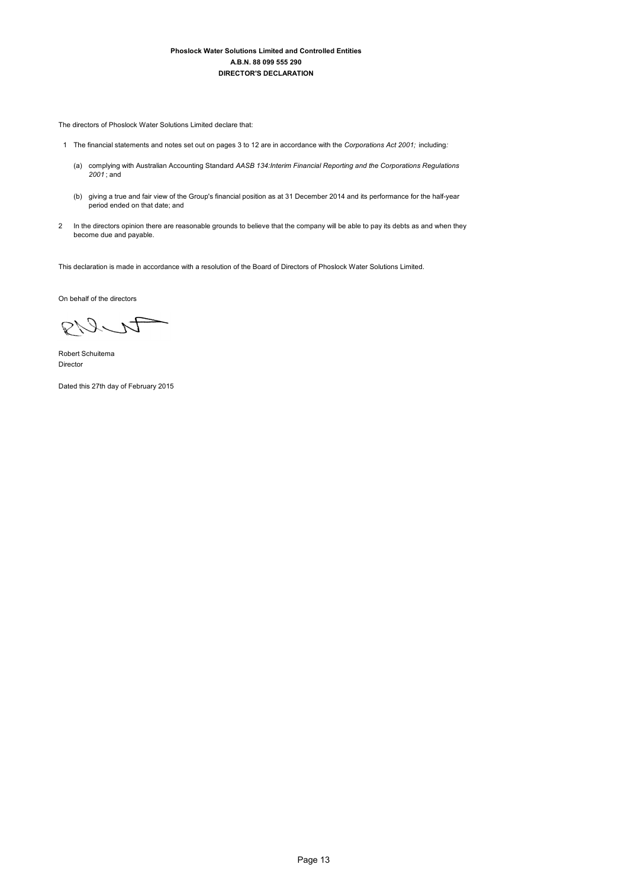The directors of Phoslock Water Solutions Limited declare that:

- 1 The financial statements and notes set out on pages 3 to 12 are in accordance with the Corporations Act 2001; including:
	- (a) complying with Australian Accounting Standard AASB 134:Interim Financial Reporting and the Corporations Regulations  $2001$ ; and
	- (b) giving a true and fair view of the Group's financial position as at 31 December 2014 and its performance for the half-year period ended on that date; and
- 2 In the directors opinion there are reasonable grounds to believe that the company will be able to pay its debts as and when they become due and payable.

This declaration is made in accordance with a resolution of the Board of Directors of Phoslock Water Solutions Limited.

On behalf of the directors

RIS

Robert Schuitema Director

Dated this 27th day of February 2015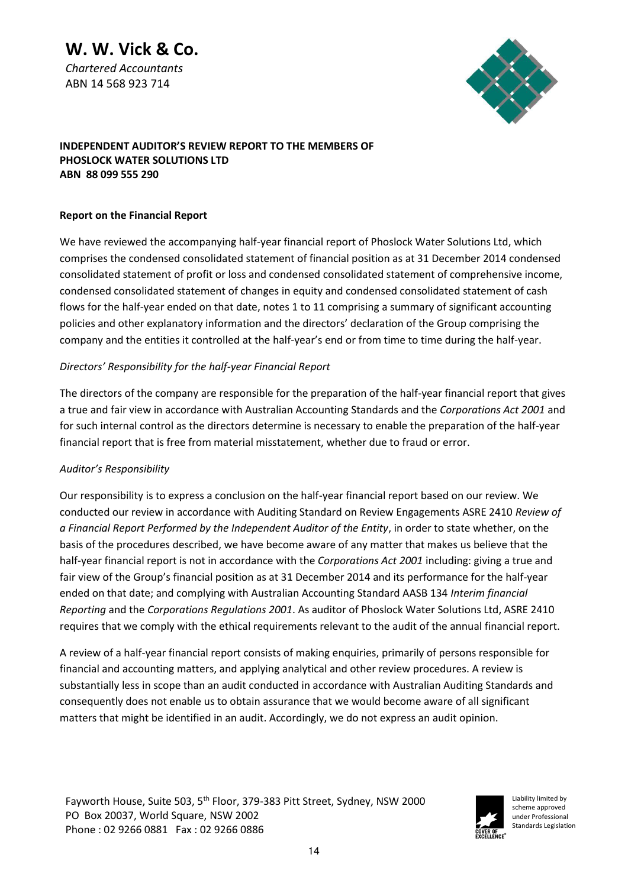# **W. W. Vick & Co.**

*Chartered Accountants*  ABN 14 568 923 714



# **INDEPENDENT AUDITOR'S REVIEW REPORT TO THE MEMBERS OF PHOSLOCK WATER SOLUTIONS LTD ABN 88 099 555 290**

# **Report on the Financial Report**

We have reviewed the accompanying half-year financial report of Phoslock Water Solutions Ltd, which comprises the condensed consolidated statement of financial position as at 31 December 2014 condensed consolidated statement of profit or loss and condensed consolidated statement of comprehensive income, condensed consolidated statement of changes in equity and condensed consolidated statement of cash flows for the half-year ended on that date, notes 1 to 11 comprising a summary of significant accounting policies and other explanatory information and the directors' declaration of the Group comprising the company and the entities it controlled at the half-year's end or from time to time during the half-year.

# *Directors' Responsibility for the half-year Financial Report*

The directors of the company are responsible for the preparation of the half-year financial report that gives a true and fair view in accordance with Australian Accounting Standards and the *Corporations Act 2001* and for such internal control as the directors determine is necessary to enable the preparation of the half-year financial report that is free from material misstatement, whether due to fraud or error.

# Auditor's Responsibility

Our responsibility is to express a conclusion on the half-year financial report based on our review. We conducted our review in accordance with Auditing Standard on Review Engagements ASRE 2410 *Review of a Financial Report Performed by the Independent Auditor of the Entity*, in order to state whether, on the basis of the procedures described, we have become aware of any matter that makes us believe that the half-year financial report is not in accordance with the *Corporations Act 2001* including: giving a true and fair view of the Group's financial position as at 31 December 2014 and its performance for the half-year ended on that date; and complying with Australian Accounting Standard AASB 134 *Interim financial Reporting* and the *Corporations Regulations 2001*. As auditor of Phoslock Water Solutions Ltd, ASRE 2410 requires that we comply with the ethical requirements relevant to the audit of the annual financial report.

A review of a half-year financial report consists of making enquiries, primarily of persons responsible for financial and accounting matters, and applying analytical and other review procedures. A review is substantially less in scope than an audit conducted in accordance with Australian Auditing Standards and consequently does not enable us to obtain assurance that we would become aware of all significant matters that might be identified in an audit. Accordingly, we do not express an audit opinion.

Fayworth House, Suite 503, 5th Floor, 379-383 Pitt Street, Sydney, NSW 2000 PO Box 20037, World Square, NSW 2002 Phone : 02 9266 0881 Fax : 02 9266 0886



Liability limited by scheme approved under Professional Standards Legislation